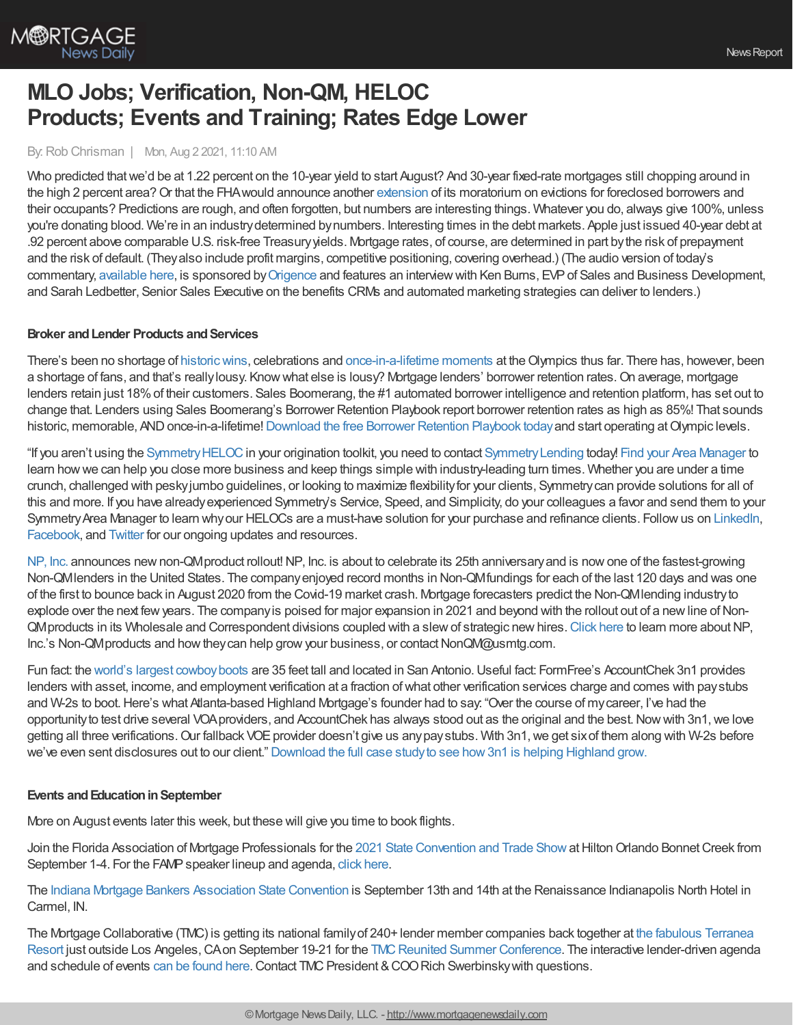

# **MLO Jobs; Verification, Non-QM, HELOC Products; Events and Training; Rates Edge Lower**

### By:Rob Chrisman | Mon, Aug 2 2021, 11:10 AM

Who predicted thatwe'd be at 1.22 percent on the 10-year yield to start August? And 30-year fixed-rate mortgages still chopping around in the high 2 percent area? Or that the FHA would announce another [extension](https://www.hud.gov/sites/dfiles/OCHCO/documents/2021-19hsgml.pdf) of its moratorium on evictions for foreclosed borrowers and their occupants? Predictions are rough, and often forgotten, but numbers are interesting things. Whatever you do, always give 100%, unless you're donating blood. We're in an industrydetermined bynumbers. Interesting times in the debt markets. Apple just issued 40-year debt at .92 percent above comparable U.S. risk-free Treasuryyields. Mortgage rates, of course, are determined in part bythe risk of prepayment and the risk of default. (They also include profit margins, competitive positioning, covering overhead.) (The audio version of today's commentary, [available](https://linktr.ee/dailymortgagenews) here, is sponsored by [Origence](https://origence.com/?utm_campaign=2021%20Chrisman%20Commentary%20&utm_source=Digital%20Ad%20&utm_medium=Podcast%20Sponsorship%20&utm_content=Origence_07-26_07-30-2021_0164) and features an interview with Ken Burns, EVP of Sales and Business Development, and Sarah Ledbetter, Senior Sales Executive on the benefits CRMs and automated marketing strategies can deliver to lenders.)

### **Broker** and Lender Products and Services

There's been no shortage of historic wins, celebrations and [once-in-a-lifetime](https://www.nbcolympics.com/videos/sportswriter-father-covers-his-olympian-daughter?chrcontext=ktvz) moments at the Olympics thus far. There has, however, been a shortage of fans, and that's really lousy. Know what else is lousy? Mortgage lenders' borrower retention rates. On average, mortgage lenders retain just 18%of their customers. Sales Boomerang, the #1 automated borrower intelligence and retention platform, has set out to change that. Lenders using Sales Boomerang's Borrower Retention Playbook report borrower retention rates as high as 85%! That sounds historic, memorable, AND once-in-a-lifetime! [Download](https://info.salesboomerang.com/borrower-retention-playbook?utm_campaign=Chrisman%20-%202021&utm_source=cm&utm_medium=email&utm_term=0721&utm_content=ebook) the free Borrower Retention Playbook today and start operating at Olympic levels.

"If you aren't using the [SymmetryHELOC](https://symmetrylending.com/products)in your origination toolkit, you need to contact [SymmetryLending](http://www.symmetrylending.com/) today! Find your Area [Manager](http://www.symmetrylending.com/areamanager) to learn howwe can help you close more business and keep things simple with industry-leading turn times. Whether you are under a time crunch, challenged with peskyjumbo guidelines, or looking to maximize flexibilityfor your clients, Symmetrycan provide solutions for all of this and more. If you have alreadyexperienced Symmetry's Service, Speed, and Simplicity, do your colleagues a favor and send them to your Symmetry Area Manager to learn why our HELOCs are a must-have solution for your purchase and refinance clients. Follow us on [LinkedIn](https://www.linkedin.com/company/symmetryheloc/), [Facebook,](https://www.facebook.com/symmetryHELOC/) and [Twitter](https://twitter.com/symmetryheloc) for our ongoing updates and resources.

[NP,](https://npincwholesale.com/) Inc. announces new non-QMproduct rollout! NP, Inc. is about to celebrate its 25th anniversary and is now one of the fastest-growing Non-QMlenders in the United States. The companyenjoyed record months in Non-QMfundings for each of the last 120 days and was one of the first to bounce back in August 2020 from the Covid-19 market crash. Mortgage forecasters predict the Non-QMlending industryto explode over the next few years. The company is poised for major expansion in 2021 and beyond with the rollout out of a new line of Non-QMproducts in its Wholesale and Correspondent divisions coupled with a slewof strategic newhires.[Click](https://npincwholesale.com/) here to learn more aboutNP, Inc.'s Non-QMproducts and how they can help grow your business, or contact NonQM@usmtg.com.

Fun fact: the world's largest [cowboyboots](https://www.roadsideamerica.com/story/7815) are 35 feet tall and located in San Antonio.Useful fact: FormFree's AccountChek 3n1 provides lenders with asset, income, and employment verification at a fraction ofwhat other verification services charge and comes with paystubs and W-2s to boot.Here's what Atlanta-based Highland Mortgage's founder had to say: "Over the course of mycareer, I've had the opportunity to test drive several VOA providers, and AccountChek has always stood out as the original and the best. Now with 3n1, we love getting all three verifications. Our fallback VOE provider doesn't give us any pay stubs. With 3n1, we get six of them along with W-2s before we've even sent disclosures out to our client." [Download](https://www.formfree.com/news-and-insights/highland-mortgage-succeeds-with-accountchek-3n1/) the full case studyto see how3n1 is helping Highland grow.

#### **Events and Education in September**

More on August events later this week, but these will give you time to book flights.

Join the Florida Association of Mortgage Professionals for the 2021 State [Convention](https://mms.ourfamp.org/Calendar/moreinfo_responsive.php?eventid=29935&org_id=FAMP) and Trade Show at Hilton Orlando Bonnet Creek from September 1-4. For the FAMP speaker lineup and agenda, click [here](https://ourfamp.org/star_power_speakers_and_breako.php).

The Indiana Mortgage Bankers [Association](https://indianamba.org/State-Convention) State Convention is September 13th and 14th at the Renaissance Indianapolis North Hotel in Carmel, IN.

The Mortgage Collaborative (TMC) is getting its national familyof 240+ lender member companies back together at the fabulous Terranea Resort just outside Los Angeles, CA on September 19-21 for the TMC Reunited Summer Conference. The interactive lender-driven agenda and schedule of events can be [found](https://www.mortgagecollaborative.com/2021-summer-conference.html) here. Contact TMC President & COO Rich Swerbinsky with questions.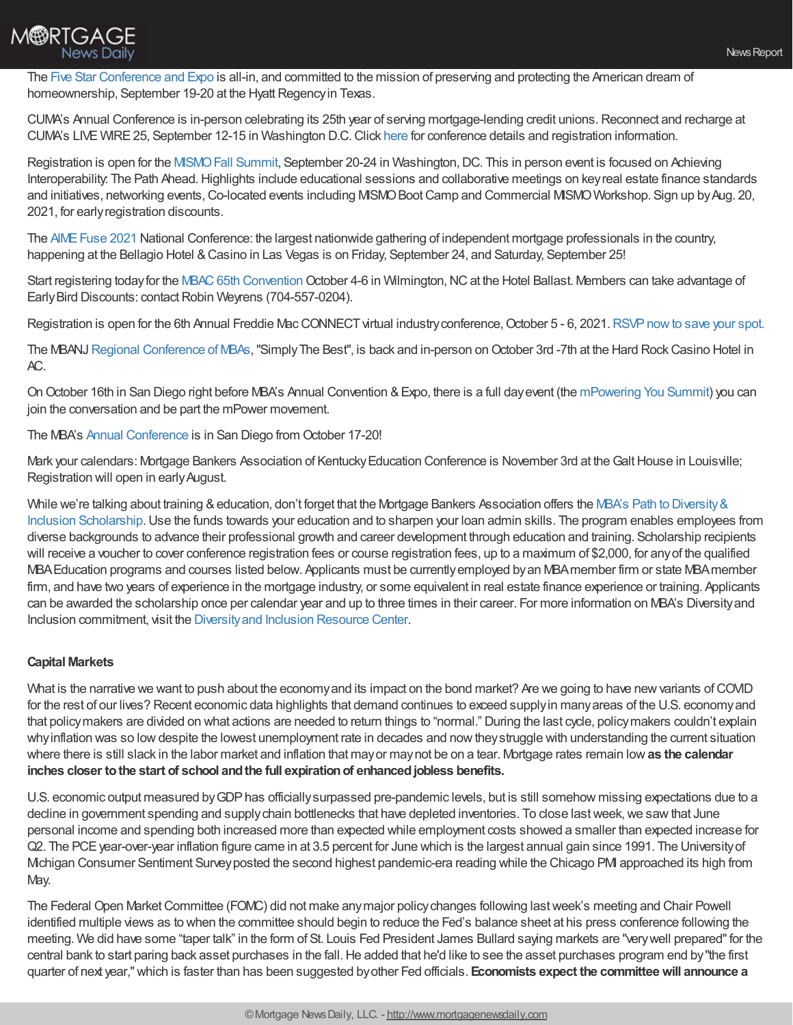

The Five Star [Conference](https://fivestarglobal.swoogo.com/FSC2021) and Expo is all-in, and committed to the mission of preserving and protecting the American dream of homeownership, September 19-20 at the Hyatt Regency in Texas.

CUMA's Annual Conference is in-person celebrating its 25th year of serving mortgage-lending credit unions.Reconnect and recharge at CUMA's LIVE WIRE25, September 12-15 in Washington D.C.Click [here](https://web.cvent.com/event/fa24d451-55ba-4de9-99b9-47087a510e3d/summary?RefId=acuma001) for conference details and registration information.

Registration is open for the MISMO Fall Summit, September 20-24 in Washington, DC. This in person event is focused on Achieving Interoperability: The Path Ahead. Highlights include educational sessions and collaborative meetings on key real estate finance standards and initiatives, networking events, Co-located events including MISMO Boot Camp and Commercial MISMO Workshop. Sign up by Aug. 20, 2021, for earlyregistration discounts.

The AIME Fuse 2021 National Conference: the largest nationwide gathering of independent mortgage professionals in the country, happening at the Bellagio Hotel & Casino in Las Vegas is on Friday, September 24, and Saturday, September 25!

Start registering today for the MBAC 65th [Convention](https://lp.constantcontactpages.com/cu/SxvnMxQ) October 4-6 in Wilmington, NC at the Hotel Ballast. Members can take advantage of Early Bird Discounts: contact Robin Weyrens (704-557-0204).

Registration is open for the 6th Annual Freddie Mac CONNECT virtual industry conference, October 5 - 6, 2021. RSVP now to save your spot.

The MBANJ Regional [Conference](https://pheedloop.com/2021rc/site/21rchome/) of MBAs, "Simply The Best", is back and in-person on October 3rd -7th at the Hard Rock Casino Hotel in AC.

OnOctober 16th in San Diego right before MBA's Annual Convention &Expo, there is a full dayevent (the [mPowering](https://www.mba.org/conferences-and-education/event-mini-sites/mpowering-you) You Summit) you can join the conversation and be part the mPower movement.

The MBA's Annual [Conference](https://www.mba.org/store/events/meetings/meeting/convention/annual-convention-and-expo?) is in San Diego from October 17-20!

Mark your calendars: Mortgage Bankers Association of Kentucky Education Conference is November 3rd at the Galt House in Louisville; Registration will open in earlyAugust.

While we're talking about training & education, don't forget that the Mortgage Bankers Association offers the MBA's Path to Diversity & Inclusion [Scholarship.Use](https://www.mba.org/news-research-and-resources/diversity-equity-and-inclusion/path-to-diversity-scholarship?) the funds towards your education and to sharpen your loan admin skills. The program enables employees from diverse backgrounds to advance their professional growth and career development through education and training. Scholarship recipients will receive a voucher to cover conference registration fees or course registration fees, up to a maximum of \$2,000, for anyof the qualified MBAEducation programs and courses listed below. Applicants must be currentlyemployed byan MBAmember firm or state MBAmember firm, and have two years of experience in the mortgage industry, or some equivalent in real estate finance experience or training. Applicants can be awarded the scholarship once per calendar year and up to three times in their career. For more information on MBA's Diversityand Inclusion commitment, visit the [Diversityand](https://www.mba.org/news-research-and-resources/diversity-equity-and-inclusion) Inclusion Resource Center.

# **Capital Markets**

What is the narrative we want to push about the economy and its impact on the bond market? Are we going to have new variants of COVID for the rest of our lives? Recent economic data highlights that demand continues to exceed supplyin manyareas of the U.S. economyand that policymakers are divided on what actions are needed to return things to "normal." During the last cycle, policymakers couldn't explain whyinflation was so lowdespite the lowest unemployment rate in decades and nowtheystruggle with understanding the current situation where there is still slack in the labor market and inflation that mayor maynot be on a tear. Mortgage rates remain low**as the calendar inches closer tothe start of school andthe full expirationof enhancedjobless benefits.**

U.S. economic output measured by GDP has officially surpassed pre-pandemic levels, but is still somehow missing expectations due to a decline in government spending and supply chain bottlenecks that have depleted inventories. To close last week, we saw that June personal income and spending both increased more than expected while employment costs showed a smaller than expected increase for Q2. The PCEyear-over-year inflation figure came in at 3.5 percent for June which is the largest annual gain since 1991. The Universityof Michigan Consumer Sentiment Surveyposted the second highest pandemic-era reading while the Chicago PMI approached its high from May.

The Federal Open MarketCommittee (FOMC) did not make anymajor policychanges following lastweek's meeting and Chair Powell identified multiple views as to when the committee should begin to reduce the Fed's balance sheet at his press conference following the meeting. We did have some "taper talk" in the form of St. Louis Fed President James Bullard saying markets are "verywell prepared"for the central bank to start paring back asset purchases in the fall. He added that he'd like to see the asset purchases program end by "the first quarter of next year,"which is faster than has been suggested byother Fed officials. **Economists expect the committeewill announce a**